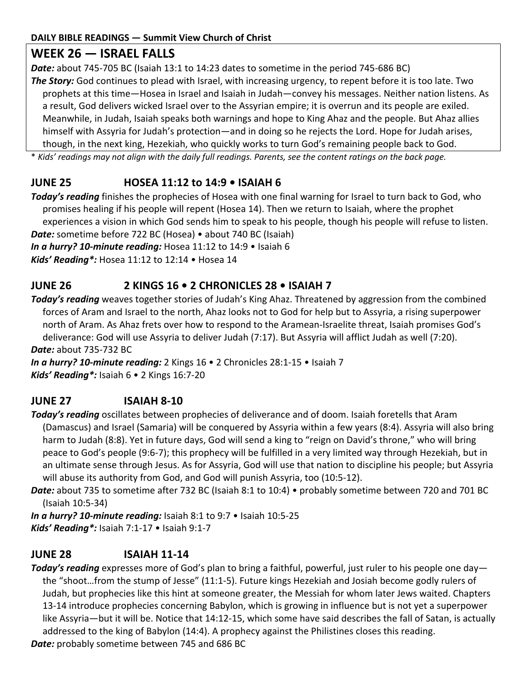# **WEEK 26 — ISRAEL FALLS**

*Date:* about 745-705 BC (Isaiah 13:1 to 14:23 dates to sometime in the period 745-686 BC)

*The Story:* God continues to plead with Israel, with increasing urgency, to repent before it is too late. Two prophets at this time—Hosea in Israel and Isaiah in Judah—convey his messages. Neither nation listens. As a result, God delivers wicked Israel over to the Assyrian empire; it is overrun and its people are exiled. Meanwhile, in Judah, Isaiah speaks both warnings and hope to King Ahaz and the people. But Ahaz allies himself with Assyria for Judah's protection—and in doing so he rejects the Lord. Hope for Judah arises, though, in the next king, Hezekiah, who quickly works to turn God's remaining people back to God.

\* *Kids' readings may not align with the daily full readings. Parents, see the content ratings on the back page.*

# **JUNE 25 HOSEA 11:12 to 14:9 • ISAIAH 6**

*Today's reading* finishes the prophecies of Hosea with one final warning for Israel to turn back to God, who promises healing if his people will repent (Hosea 14). Then we return to Isaiah, where the prophet experiences a vision in which God sends him to speak to his people, though his people will refuse to listen. *Date:* sometime before 722 BC (Hosea) • about 740 BC (Isaiah)

*In a hurry? 10-minute reading:* Hosea 11:12 to 14:9 • Isaiah 6

*Kids' Reading\*:* Hosea 11:12 to 12:14 • Hosea 14

### **JUNE 26 2 KINGS 16 • 2 CHRONICLES 28 • ISAIAH 7**

*Today's reading* weaves together stories of Judah's King Ahaz. Threatened by aggression from the combined forces of Aram and Israel to the north, Ahaz looks not to God for help but to Assyria, a rising superpower north of Aram. As Ahaz frets over how to respond to the Aramean-Israelite threat, Isaiah promises God's deliverance: God will use Assyria to deliver Judah (7:17). But Assyria will afflict Judah as well (7:20). *Date:* about 735-732 BC

*In a hurry? 10-minute reading:* 2 Kings 16 • 2 Chronicles 28:1-15 • Isaiah 7 *Kids' Reading\*:* Isaiah 6 • 2 Kings 16:7-20

## **JUNE 27 ISAIAH 8-10**

*Today's reading* oscillates between prophecies of deliverance and of doom. Isaiah foretells that Aram (Damascus) and Israel (Samaria) will be conquered by Assyria within a few years (8:4). Assyria will also bring harm to Judah (8:8). Yet in future days, God will send a king to "reign on David's throne," who will bring peace to God's people (9:6-7); this prophecy will be fulfilled in a very limited way through Hezekiah, but in an ultimate sense through Jesus. As for Assyria, God will use that nation to discipline his people; but Assyria will abuse its authority from God, and God will punish Assyria, too (10:5-12).

*Date:* about 735 to sometime after 732 BC (Isaiah 8:1 to 10:4) • probably sometime between 720 and 701 BC (Isaiah 10:5-34)

*In a hurry? 10-minute reading:* Isaiah 8:1 to 9:7 • Isaiah 10:5-25 *Kids' Reading\*:* Isaiah 7:1-17 • Isaiah 9:1-7

## **JUNE 28 ISAIAH 11-14**

*Today's reading* expresses more of God's plan to bring a faithful, powerful, just ruler to his people one day the "shoot…from the stump of Jesse" (11:1-5). Future kings Hezekiah and Josiah become godly rulers of Judah, but prophecies like this hint at someone greater, the Messiah for whom later Jews waited. Chapters 13-14 introduce prophecies concerning Babylon, which is growing in influence but is not yet a superpower like Assyria—but it will be. Notice that 14:12-15, which some have said describes the fall of Satan, is actually addressed to the king of Babylon (14:4). A prophecy against the Philistines closes this reading. *Date:* probably sometime between 745 and 686 BC